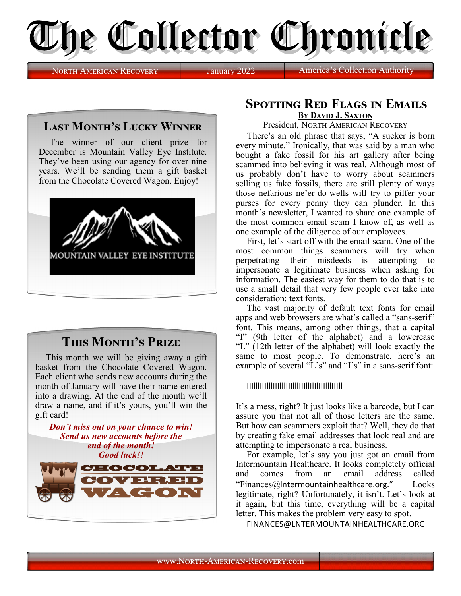

NORTH AMERICAN RECOVERY January 2022 America's

## **Last Month's Lucky Winner**

The winner of our client prize for December is Mountain Valley Eye Institute. They've been using our agency for over nine years. We'll be sending them a gift basket from the Chocolate Covered Wagon. Enjoy!



## **This Month's Prize**

This month we will be giving away a gift basket from the Chocolate Covered Wagon. Each client who sends new accounts during the month of January will have their name entered into a drawing. At the end of the month we'll draw a name, and if it's yours, you'll win the gift card!



## **Spotting Red Flags in Emails By David J. Saxton**

President, NORTH AMERICAN RECOVERY

 There's an old phrase that says, "A sucker is born every minute." Ironically, that was said by a man who bought a fake fossil for his art gallery after being scammed into believing it was real. Although most of us probably don't have to worry about scammers selling us fake fossils, there are still plenty of ways those nefarious ne'er-do-wells will try to pilfer your purses for every penny they can plunder. In this month's newsletter, I wanted to share one example of the most common email scam I know of, as well as one example of the diligence of our employees.

First, let's start off with the email scam. One of the most common things scammers will try when perpetrating their misdeeds is attempting to impersonate a legitimate business when asking for information. The easiest way for them to do that is to use a small detail that very few people ever take into consideration: text fonts.

The vast majority of default text fonts for email apps and web browsers are what's called a "sans-serif" font. This means, among other things, that a capital "I" (9th letter of the alphabet) and a lowercase "L" (12th letter of the alphabet) will look exactly the same to most people. To demonstrate, here's an example of several "L's" and "I's" in a sans-serif font:

IIIlllIIIlllIIIlllIIIlllIIIllIlIlIIIlllIIIll

It's a mess, right? It just looks like a barcode, but I can assure you that not all of those letters are the same. But how can scammers exploit that? Well, they do that by creating fake email addresses that look real and are attempting to impersonate a real business.

For example, let's say you just got an email from Intermountain Healthcare. It looks completely official and comes from an email address called "Finances@lntermountainhealthcare.org." Looks legitimate, right? Unfortunately, it isn't. Let's look at it again, but this time, everything will be a capital letter. This makes the problem very easy to spot.

FINANCES@LNTERMOUNTAINHEALTHCARE.ORG